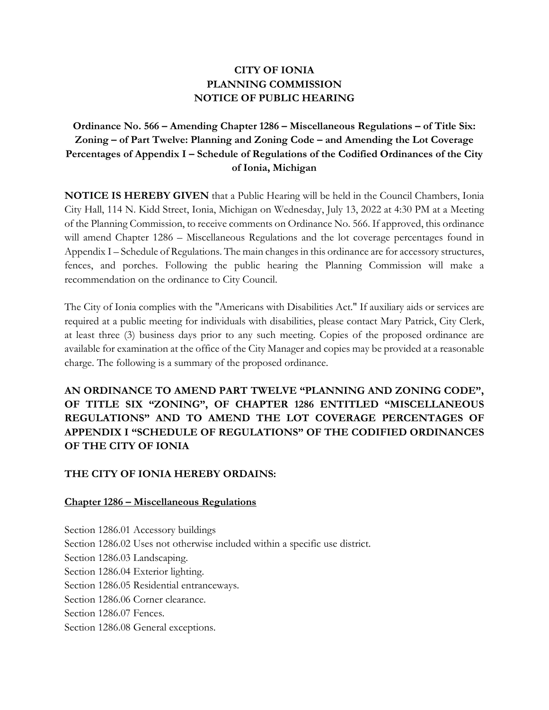## **CITY OF IONIA PLANNING COMMISSION NOTICE OF PUBLIC HEARING**

## **Ordinance No. 566 – Amending Chapter 1286 – Miscellaneous Regulations – of Title Six: Zoning – of Part Twelve: Planning and Zoning Code – and Amending the Lot Coverage Percentages of Appendix I – Schedule of Regulations of the Codified Ordinances of the City of Ionia, Michigan**

**NOTICE IS HEREBY GIVEN** that a Public Hearing will be held in the Council Chambers, Ionia City Hall, 114 N. Kidd Street, Ionia, Michigan on Wednesday, July 13, 2022 at 4:30 PM at a Meeting of the Planning Commission, to receive comments on Ordinance No. 566. If approved, this ordinance will amend Chapter 1286 – Miscellaneous Regulations and the lot coverage percentages found in Appendix I – Schedule of Regulations. The main changes in this ordinance are for accessory structures, fences, and porches. Following the public hearing the Planning Commission will make a recommendation on the ordinance to City Council.

The City of Ionia complies with the "Americans with Disabilities Act." If auxiliary aids or services are required at a public meeting for individuals with disabilities, please contact Mary Patrick, City Clerk, at least three (3) business days prior to any such meeting. Copies of the proposed ordinance are available for examination at the office of the City Manager and copies may be provided at a reasonable charge. The following is a summary of the proposed ordinance.

**AN ORDINANCE TO AMEND PART TWELVE "PLANNING AND ZONING CODE", OF TITLE SIX "ZONING", OF CHAPTER 1286 ENTITLED "MISCELLANEOUS REGULATIONS" AND TO AMEND THE LOT COVERAGE PERCENTAGES OF APPENDIX I "SCHEDULE OF REGULATIONS" OF THE CODIFIED ORDINANCES OF THE CITY OF IONIA**

## **THE CITY OF IONIA HEREBY ORDAINS:**

## **Chapter 1286 – Miscellaneous Regulations**

Section 1286.01 Accessory buildings Section 1286.02 Uses not otherwise included within a specific use district. Section 1286.03 Landscaping. Section 1286.04 Exterior lighting. Section 1286.05 Residential entranceways. Section 1286.06 Corner clearance. Section 1286.07 Fences. Section 1286.08 General exceptions.